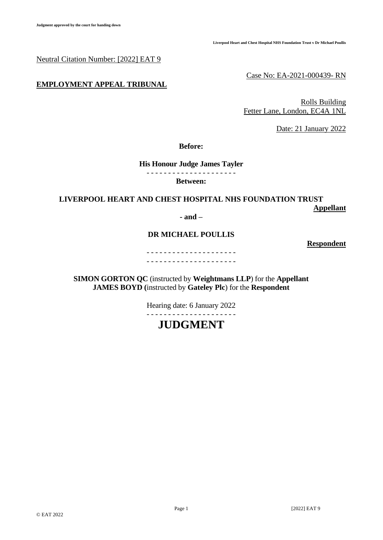Neutral Citation Number: [2022] EAT 9

## **EMPLOYMENT APPEAL TRIBUNAL**

Case No: EA-2021-000439- RN

Rolls Building Fetter Lane, London, EC4A 1NL

Date: 21 January 2022

**Before:**

#### **His Honour Judge James Tayler**  - - - - - - - - - - - - - - - - - - - - -

#### **Between:**

## **LIVERPOOL HEART AND CHEST HOSPITAL NHS FOUNDATION TRUST Appellant**

#### **- and –**

# **DR MICHAEL POULLIS**

**Respondent**

- - - - - - - - - - - - - - - - - - - - - - - - - - - - - - - - - - - - - - - - - -

**SIMON GORTON QC** (instructed by **Weightmans LLP**) for the **Appellant JAMES BOYD (**instructed by **Gateley Plc**) for the **Respondent**

Hearing date: 6 January 2022

- - - - - - - - - - - - - - - - - - - - -

# **JUDGMENT**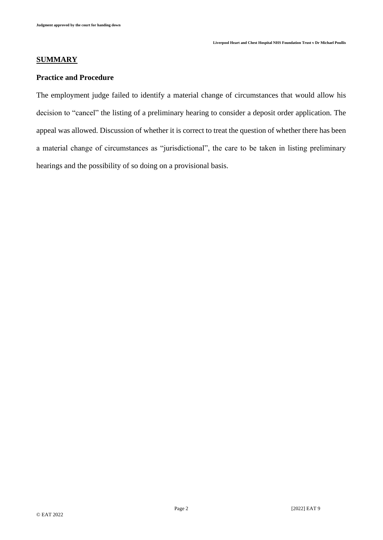# **SUMMARY**

# **Practice and Procedure**

The employment judge failed to identify a material change of circumstances that would allow his decision to "cancel" the listing of a preliminary hearing to consider a deposit order application. The appeal was allowed. Discussion of whether it is correct to treat the question of whether there has been a material change of circumstances as "jurisdictional", the care to be taken in listing preliminary hearings and the possibility of so doing on a provisional basis.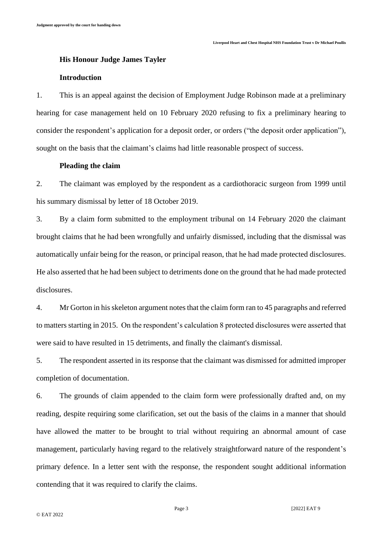#### **His Honour Judge James Tayler**

#### **Introduction**

1. This is an appeal against the decision of Employment Judge Robinson made at a preliminary hearing for case management held on 10 February 2020 refusing to fix a preliminary hearing to consider the respondent's application for a deposit order, or orders ("the deposit order application"), sought on the basis that the claimant's claims had little reasonable prospect of success.

#### **Pleading the claim**

2. The claimant was employed by the respondent as a cardiothoracic surgeon from 1999 until his summary dismissal by letter of 18 October 2019.

3. By a claim form submitted to the employment tribunal on 14 February 2020 the claimant brought claims that he had been wrongfully and unfairly dismissed, including that the dismissal was automatically unfair being for the reason, or principal reason, that he had made protected disclosures. He also asserted that he had been subject to detriments done on the ground that he had made protected disclosures.

4. Mr Gorton in his skeleton argument notes that the claim form ran to 45 paragraphs and referred to matters starting in 2015. On the respondent's calculation 8 protected disclosures were asserted that were said to have resulted in 15 detriments, and finally the claimant's dismissal.

5. The respondent asserted in its response that the claimant was dismissed for admitted improper completion of documentation.

6. The grounds of claim appended to the claim form were professionally drafted and, on my reading, despite requiring some clarification, set out the basis of the claims in a manner that should have allowed the matter to be brought to trial without requiring an abnormal amount of case management, particularly having regard to the relatively straightforward nature of the respondent's primary defence. In a letter sent with the response, the respondent sought additional information contending that it was required to clarify the claims.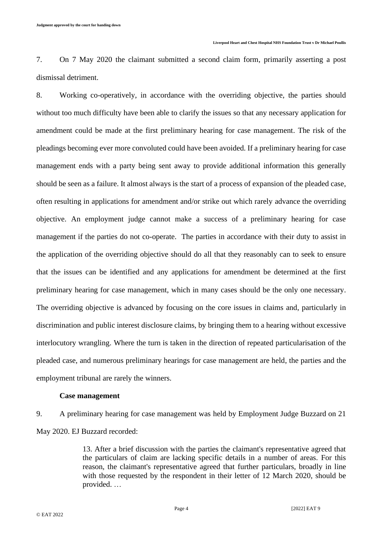7. On 7 May 2020 the claimant submitted a second claim form, primarily asserting a post dismissal detriment.

8. Working co-operatively, in accordance with the overriding objective, the parties should without too much difficulty have been able to clarify the issues so that any necessary application for amendment could be made at the first preliminary hearing for case management. The risk of the pleadings becoming ever more convoluted could have been avoided. If a preliminary hearing for case management ends with a party being sent away to provide additional information this generally should be seen as a failure. It almost always is the start of a process of expansion of the pleaded case, often resulting in applications for amendment and/or strike out which rarely advance the overriding objective. An employment judge cannot make a success of a preliminary hearing for case management if the parties do not co-operate. The parties in accordance with their duty to assist in the application of the overriding objective should do all that they reasonably can to seek to ensure that the issues can be identified and any applications for amendment be determined at the first preliminary hearing for case management, which in many cases should be the only one necessary. The overriding objective is advanced by focusing on the core issues in claims and, particularly in discrimination and public interest disclosure claims, by bringing them to a hearing without excessive interlocutory wrangling. Where the turn is taken in the direction of repeated particularisation of the pleaded case, and numerous preliminary hearings for case management are held, the parties and the employment tribunal are rarely the winners.

#### **Case management**

9. A preliminary hearing for case management was held by Employment Judge Buzzard on 21 May 2020. EJ Buzzard recorded:

> 13. After a brief discussion with the parties the claimant's representative agreed that the particulars of claim are lacking specific details in a number of areas. For this reason, the claimant's representative agreed that further particulars, broadly in line with those requested by the respondent in their letter of 12 March 2020, should be provided. …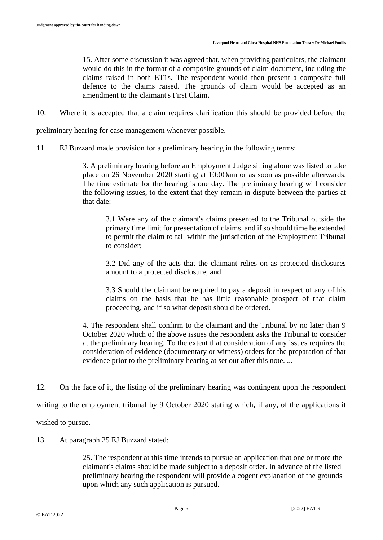15. After some discussion it was agreed that, when providing particulars, the claimant would do this in the format of a composite grounds of claim document, including the claims raised in both ET1s. The respondent would then present a composite full defence to the claims raised. The grounds of claim would be accepted as an amendment to the claimant's First Claim.

10. Where it is accepted that a claim requires clarification this should be provided before the

preliminary hearing for case management whenever possible.

11. EJ Buzzard made provision for a preliminary hearing in the following terms:

3. A preliminary hearing before an Employment Judge sitting alone was listed to take place on 26 November 2020 starting at 10:0Oam or as soon as possible afterwards. The time estimate for the hearing is one day. The preliminary hearing will consider the following issues, to the extent that they remain in dispute between the parties at that date:

3.1 Were any of the claimant's claims presented to the Tribunal outside the primary time limit for presentation of claims, and if so should time be extended to permit the claim to fall within the jurisdiction of the Employment Tribunal to consider;

3.2 Did any of the acts that the claimant relies on as protected disclosures amount to a protected disclosure; and

3.3 Should the claimant be required to pay a deposit in respect of any of his claims on the basis that he has little reasonable prospect of that claim proceeding, and if so what deposit should be ordered.

4. The respondent shall confirm to the claimant and the Tribunal by no later than 9 October 2020 which of the above issues the respondent asks the Tribunal to consider at the preliminary hearing. To the extent that consideration of any issues requires the consideration of evidence (documentary or witness) orders for the preparation of that evidence prior to the preliminary hearing at set out after this note. ...

12. On the face of it, the listing of the preliminary hearing was contingent upon the respondent

writing to the employment tribunal by 9 October 2020 stating which, if any, of the applications it

wished to pursue.

13. At paragraph 25 EJ Buzzard stated:

25. The respondent at this time intends to pursue an application that one or more the claimant's claims should be made subject to a deposit order. In advance of the listed preliminary hearing the respondent will provide a cogent explanation of the grounds upon which any such application is pursued.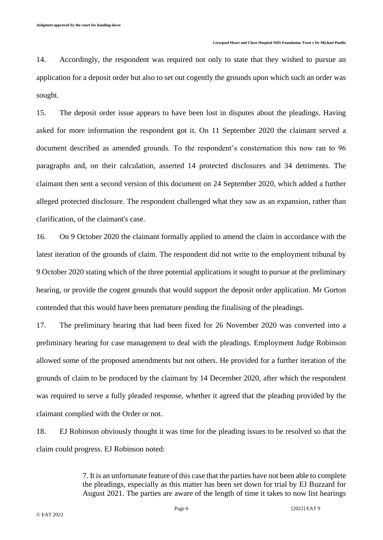14. Accordingly, the respondent was required not only to state that they wished to pursue an application for a deposit order but also to set out cogently the grounds upon which such an order was sought.

15. The deposit order issue appears to have been lost in disputes about the pleadings. Having asked for more information the respondent got it. On 11 September 2020 the claimant served a document described as amended grounds. To the respondent's consternation this now ran to 96 paragraphs and, on their calculation, asserted 14 protected disclosures and 34 detriments. The claimant then sent a second version of this document on 24 September 2020, which added a further alleged protected disclosure. The respondent challenged what they saw as an expansion, rather than clarification, of the claimant's case.

16. On 9 October 2020 the claimant formally applied to amend the claim in accordance with the latest iteration of the grounds of claim. The respondent did not write to the employment tribunal by 9 October 2020 stating which of the three potential applications it sought to pursue at the preliminary hearing, or provide the cogent grounds that would support the deposit order application. Mr Gorton contended that this would have been premature pending the finalising of the pleadings.

17. The preliminary hearing that had been fixed for 26 November 2020 was converted into a preliminary hearing for case management to deal with the pleadings. Employment Judge Robinson allowed some of the proposed amendments but not others. He provided for a further iteration of the grounds of claim to be produced by the claimant by 14 December 2020, after which the respondent was required to serve a fully pleaded response, whether it agreed that the pleading provided by the claimant complied with the Order or not.

18. EJ Robinson obviously thought it was time for the pleading issues to be resolved so that the claim could progress. EJ Robinson noted:

> 7. It is an unfortunate feature of this case that the parties have not been able to complete the pleadings, especially as this matter has been set down for trial by EJ Buzzard for August 2021. The parties are aware of the length of time it takes to now list hearings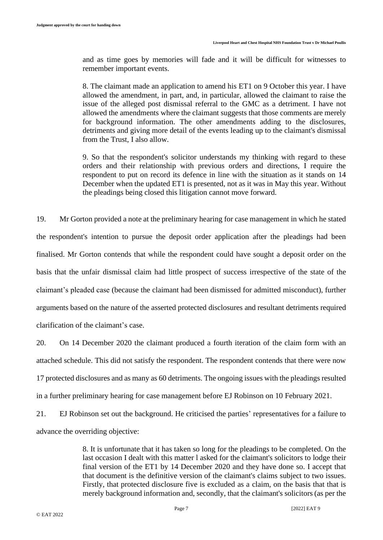and as time goes by memories will fade and it will be difficult for witnesses to remember important events.

8. The claimant made an application to amend his ET1 on 9 October this year. I have allowed the amendment, in part, and, in particular, allowed the claimant to raise the issue of the alleged post dismissal referral to the GMC as a detriment. I have not allowed the amendments where the claimant suggests that those comments are merely for background information. The other amendments adding to the disclosures, detriments and giving more detail of the events leading up to the claimant's dismissal from the Trust, I also allow.

9. So that the respondent's solicitor understands my thinking with regard to these orders and their relationship with previous orders and directions, I require the respondent to put on record its defence in line with the situation as it stands on 14 December when the updated ET1 is presented, not as it was in May this year. Without the pleadings being closed this litigation cannot move forward.

19. Mr Gorton provided a note at the preliminary hearing for case management in which he stated the respondent's intention to pursue the deposit order application after the pleadings had been finalised. Mr Gorton contends that while the respondent could have sought a deposit order on the basis that the unfair dismissal claim had little prospect of success irrespective of the state of the claimant's pleaded case (because the claimant had been dismissed for admitted misconduct), further arguments based on the nature of the asserted protected disclosures and resultant detriments required clarification of the claimant's case.

20. On 14 December 2020 the claimant produced a fourth iteration of the claim form with an attached schedule. This did not satisfy the respondent. The respondent contends that there were now 17 protected disclosures and as many as 60 detriments. The ongoing issues with the pleadings resulted in a further preliminary hearing for case management before EJ Robinson on 10 February 2021.

21. EJ Robinson set out the background. He criticised the parties' representatives for a failure to advance the overriding objective:

> 8. It is unfortunate that it has taken so long for the pleadings to be completed. On the last occasion I dealt with this matter l asked for the claimant's solicitors to lodge their final version of the ET1 by 14 December 2020 and they have done so. I accept that that document is the definitive version of the claimant's claims subject to two issues. Firstly, that protected disclosure five is excluded as a claim, on the basis that that is merely background information and, secondly, that the claimant's solicitors (as per the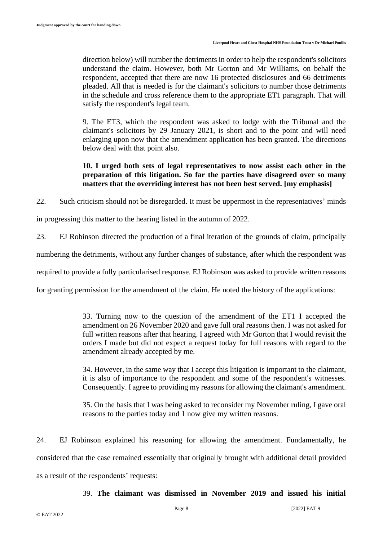direction below) will number the detriments in order to help the respondent's solicitors understand the claim. However, both Mr Gorton and Mr Williams, on behalf the respondent, accepted that there are now 16 protected disclosures and 66 detriments pleaded. All that is needed is for the claimant's solicitors to number those detriments in the schedule and cross reference them to the appropriate ET1 paragraph. That will satisfy the respondent's legal team.

9. The ET3, which the respondent was asked to lodge with the Tribunal and the claimant's solicitors by 29 January 2021, is short and to the point and will need enlarging upon now that the amendment application has been granted. The directions below deal with that point also.

# **10. I urged both sets of legal representatives to now assist each other in the preparation of this litigation. So far the parties have disagreed over so many matters that the overriding interest has not been best served. [my emphasis]**

22. Such criticism should not be disregarded. It must be uppermost in the representatives' minds

in progressing this matter to the hearing listed in the autumn of 2022.

23. EJ Robinson directed the production of a final iteration of the grounds of claim, principally

numbering the detriments, without any further changes of substance, after which the respondent was

required to provide a fully particularised response. EJ Robinson was asked to provide written reasons

for granting permission for the amendment of the claim. He noted the history of the applications:

33. Turning now to the question of the amendment of the ET1 I accepted the amendment on 26 November 2020 and gave full oral reasons then. I was not asked for full written reasons after that hearing. I agreed with Mr Gorton that I would revisit the orders I made but did not expect a request today for full reasons with regard to the amendment already accepted by me.

34. However, in the same way that I accept this litigation is important to the claimant, it is also of importance to the respondent and some of the respondent's witnesses. Consequently. I agree to providing my reasons for allowing the claimant's amendment.

35. On the basis that I was being asked to reconsider my November ruling, I gave oral reasons to the parties today and 1 now give my written reasons.

24. EJ Robinson explained his reasoning for allowing the amendment. Fundamentally, he considered that the case remained essentially that originally brought with additional detail provided as a result of the respondents' requests:

39. **The claimant was dismissed in November 2019 and issued his initial**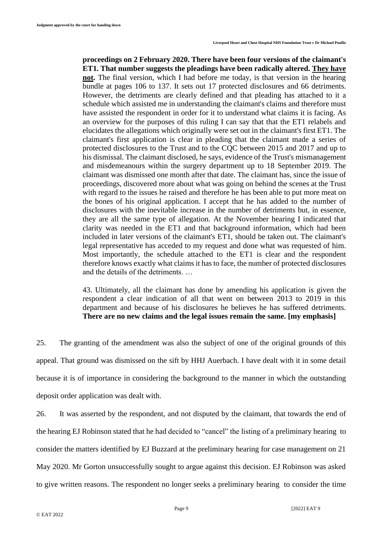**proceedings on 2 February 2020. There have been four versions of the claimant's ET1. That number suggests the pleadings have been radically altered. They have not.** The final version, which I had before me today, is that version in the hearing bundle at pages 106 to 137. It sets out 17 protected disclosures and 66 detriments. However, the detriments are clearly defined and that pleading has attached to it a schedule which assisted me in understanding the claimant's claims and therefore must have assisted the respondent in order for it to understand what claims it is facing. As an overview for the purposes of this ruling I can say that that the ET1 relabels and elucidates the allegations which originally were set out in the claimant's first ET1. The claimant's first application is clear in pleading that the claimant made a series of protected disclosures to the Trust and to the CQC between 2015 and 2017 and up to his dismissal. The claimant disclosed, he says, evidence of the Trust's mismanagement and misdemeanours within the surgery department up to 18 September 2019. The claimant was dismissed one month after that date. The claimant has, since the issue of proceedings, discovered more about what was going on behind the scenes at the Trust with regard to the issues he raised and therefore he has been able to put more meat on the bones of his original application. I accept that he has added to the number of disclosures with the inevitable increase in the number of detriments but, in essence, they are all the same type of allegation. At the November hearing I indicated that clarity was needed in the ET1 and that background information, which had been included in later versions of the claimant's ET1, should be taken out. The claimant's legal representative has acceded to my request and done what was requested of him. Most importantly, the schedule attached to the ET1 is clear and the respondent therefore knows exactly what claims it has to face, the number of protected disclosures and the details of the detriments. …

43. Ultimately, all the claimant has done by amending his application is given the respondent a clear indication of all that went on between 2013 to 2019 in this department and because of his disclosures he believes he has suffered detriments. **There are no new claims and the legal issues remain the same. [my emphasis]**

25. The granting of the amendment was also the subject of one of the original grounds of this appeal. That ground was dismissed on the sift by HHJ Auerbach. I have dealt with it in some detail because it is of importance in considering the background to the manner in which the outstanding deposit order application was dealt with.

26. It was asserted by the respondent, and not disputed by the claimant, that towards the end of the hearing EJ Robinson stated that he had decided to "cancel" the listing of a preliminary hearing to consider the matters identified by EJ Buzzard at the preliminary hearing for case management on 21 May 2020. Mr Gorton unsuccessfully sought to argue against this decision. EJ Robinson was asked to give written reasons. The respondent no longer seeks a preliminary hearing to consider the time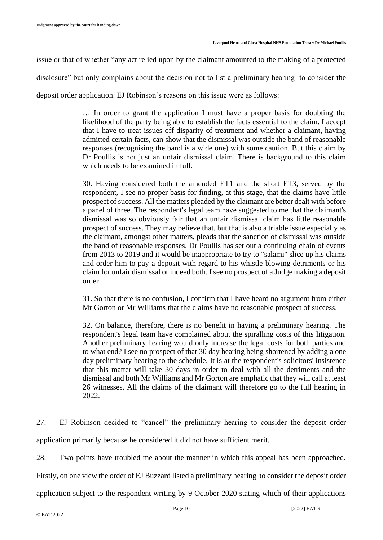issue or that of whether "any act relied upon by the claimant amounted to the making of a protected

disclosure" but only complains about the decision not to list a preliminary hearing to consider the

deposit order application. EJ Robinson's reasons on this issue were as follows:

… In order to grant the application I must have a proper basis for doubting the likelihood of the party being able to establish the facts essential to the claim. I accept that I have to treat issues off disparity of treatment and whether a claimant, having admitted certain facts, can show that the dismissal was outside the band of reasonable responses (recognising the band is a wide one) with some caution. But this claim by Dr Poullis is not just an unfair dismissal claim. There is background to this claim which needs to be examined in full.

30. Having considered both the amended ET1 and the short ET3, served by the respondent, I see no proper basis for finding, at this stage, that the claims have little prospect of success. All the matters pleaded by the claimant are better dealt with before a panel of three. The respondent's legal team have suggested to me that the claimant's dismissal was so obviously fair that an unfair dismissal claim has little reasonable prospect of success. They may believe that, but that is also a triable issue especially as the claimant, amongst other matters, pleads that the sanction of dismissal was outside the band of reasonable responses. Dr Poullis has set out a continuing chain of events from 2013 to 2019 and it would be inappropriate to try to "salami" slice up his claims and order him to pay a deposit with regard to his whistle blowing detriments or his claim for unfair dismissal or indeed both. I see no prospect of a Judge making a deposit order.

31. So that there is no confusion, I confirm that I have heard no argument from either Mr Gorton or Mr Williams that the claims have no reasonable prospect of success.

32. On balance, therefore, there is no benefit in having a preliminary hearing. The respondent's legal team have complained about the spiralling costs of this litigation. Another preliminary hearing would only increase the legal costs for both parties and to what end? I see no prospect of that 30 day hearing being shortened by adding a one day preliminary hearing to the schedule. It is at the respondent's solicitors' insistence that this matter will take 30 days in order to deal with all the detriments and the dismissal and both Mr Williams and Mr Gorton are emphatic that they will call at least 26 witnesses. All the claims of the claimant will therefore go to the full hearing in 2022.

27. EJ Robinson decided to "cancel" the preliminary hearing to consider the deposit order application primarily because he considered it did not have sufficient merit.

28. Two points have troubled me about the manner in which this appeal has been approached.

Firstly, on one view the order of EJ Buzzard listed a preliminary hearing to consider the deposit order

application subject to the respondent writing by 9 October 2020 stating which of their applications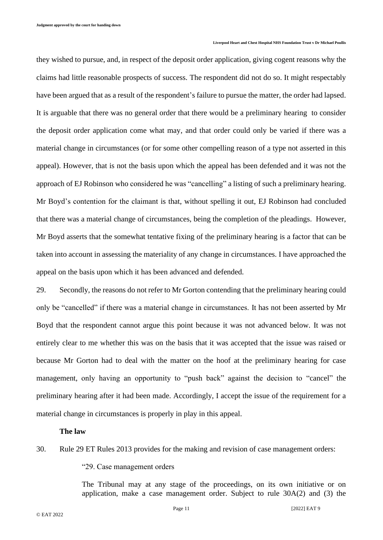they wished to pursue, and, in respect of the deposit order application, giving cogent reasons why the claims had little reasonable prospects of success. The respondent did not do so. It might respectably have been argued that as a result of the respondent's failure to pursue the matter, the order had lapsed. It is arguable that there was no general order that there would be a preliminary hearing to consider the deposit order application come what may, and that order could only be varied if there was a material change in circumstances (or for some other compelling reason of a type not asserted in this appeal). However, that is not the basis upon which the appeal has been defended and it was not the approach of EJ Robinson who considered he was "cancelling" a listing of such a preliminary hearing. Mr Boyd's contention for the claimant is that, without spelling it out, EJ Robinson had concluded that there was a material change of circumstances, being the completion of the pleadings. However, Mr Boyd asserts that the somewhat tentative fixing of the preliminary hearing is a factor that can be taken into account in assessing the materiality of any change in circumstances. I have approached the appeal on the basis upon which it has been advanced and defended.

29. Secondly, the reasons do not refer to Mr Gorton contending that the preliminary hearing could only be "cancelled" if there was a material change in circumstances. It has not been asserted by Mr Boyd that the respondent cannot argue this point because it was not advanced below. It was not entirely clear to me whether this was on the basis that it was accepted that the issue was raised or because Mr Gorton had to deal with the matter on the hoof at the preliminary hearing for case management, only having an opportunity to "push back" against the decision to "cancel" the preliminary hearing after it had been made. Accordingly, I accept the issue of the requirement for a material change in circumstances is properly in play in this appeal.

#### **The law**

## 30. Rule 29 ET Rules 2013 provides for the making and revision of case management orders:

"29. Case management orders

The Tribunal may at any stage of the proceedings, on its own initiative or on application, make a case management order. Subject to rule 30A(2) and (3) the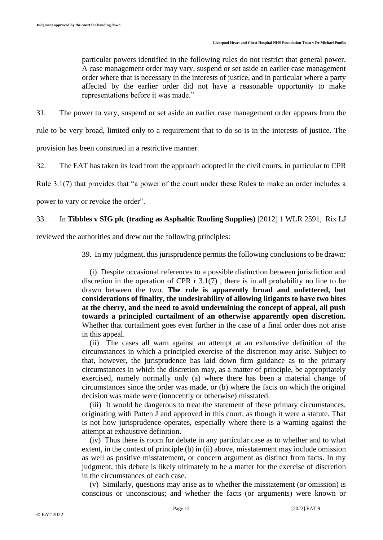particular powers identified in the following rules do not restrict that general power. A case management order may vary, suspend or set aside an earlier case management order where that is necessary in the interests of justice, and in particular where a party affected by the earlier order did not have a reasonable opportunity to make representations before it was made."

31. The power to vary, suspend or set aside an earlier case management order appears from the

rule to be very broad, limited only to a requirement that to do so is in the interests of justice. The

provision has been construed in a restrictive manner.

32. The EAT has taken its lead from the approach adopted in the civil courts, in particular to CPR

Rule 3.1(7) that provides that "a power of the court under these Rules to make an order includes a

power to vary or revoke the order".

## 33. In **Tibbles v SIG plc (trading as Asphaltic Roofing Supplies)** [2012] 1 WLR 2591, Rix LJ

reviewed the authorities and drew out the following principles:

39. In my judgment, this jurisprudence permits the following conclusions to be drawn:

 (i) Despite occasional references to a possible distinction between jurisdiction and discretion in the operation of CPR r 3.1(7) , there is in all probability no line to be drawn between the two. **The rule is apparently broad and unfettered, but considerations of finality, the undesirability of allowing litigants to have two bites at the cherry, and the need to avoid undermining the concept of appeal, all push towards a principled curtailment of an otherwise apparently open discretion.** Whether that curtailment goes even further in the case of a final order does not arise in this appeal.

 (ii) The cases all warn against an attempt at an exhaustive definition of the circumstances in which a principled exercise of the discretion may arise. Subject to that, however, the jurisprudence has laid down firm guidance as to the primary circumstances in which the discretion may, as a matter of principle, be appropriately exercised, namely normally only (a) where there has been a material change of circumstances since the order was made, or (b) where the facts on which the original decision was made were (innocently or otherwise) misstated.

 (iii) It would be dangerous to treat the statement of these primary circumstances, originating with Patten J and approved in this court, as though it were a statute. That is not how jurisprudence operates, especially where there is a warning against the attempt at exhaustive definition.

 (iv) Thus there is room for debate in any particular case as to whether and to what extent, in the context of principle (b) in (ii) above, misstatement may include omission as well as positive misstatement, or concern argument as distinct from facts. In my judgment, this debate is likely ultimately to be a matter for the exercise of discretion in the circumstances of each case.

 (v) Similarly, questions may arise as to whether the misstatement (or omission) is conscious or unconscious; and whether the facts (or arguments) were known or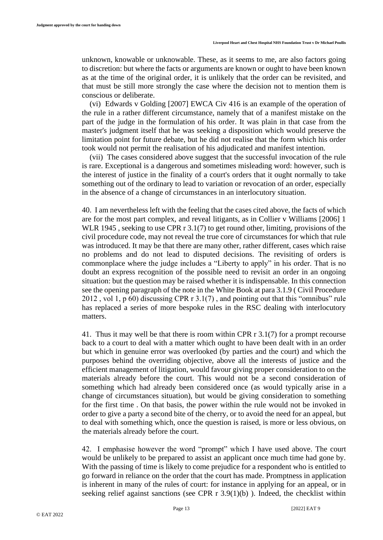unknown, knowable or unknowable. These, as it seems to me, are also factors going to discretion: but where the facts or arguments are known or ought to have been known as at the time of the original order, it is unlikely that the order can be revisited, and that must be still more strongly the case where the decision not to mention them is conscious or deliberate.

 (vi) Edwards v Golding [2007] EWCA Civ 416 is an example of the operation of the rule in a rather different circumstance, namely that of a manifest mistake on the part of the judge in the formulation of his order. It was plain in that case from the master's judgment itself that he was seeking a disposition which would preserve the limitation point for future debate, but he did not realise that the form which his order took would not permit the realisation of his adjudicated and manifest intention.

 (vii) The cases considered above suggest that the successful invocation of the rule is rare. Exceptional is a dangerous and sometimes misleading word: however, such is the interest of justice in the finality of a court's orders that it ought normally to take something out of the ordinary to lead to variation or revocation of an order, especially in the absence of a change of circumstances in an interlocutory situation.

40. I am nevertheless left with the feeling that the cases cited above, the facts of which are for the most part complex, and reveal litigants, as in Collier v Williams [2006] 1 WLR 1945, seeking to use CPR r 3.1(7) to get round other, limiting, provisions of the civil procedure code, may not reveal the true core of circumstances for which that rule was introduced. It may be that there are many other, rather different, cases which raise no problems and do not lead to disputed decisions. The revisiting of orders is commonplace where the judge includes a "Liberty to apply" in his order. That is no doubt an express recognition of the possible need to revisit an order in an ongoing situation: but the question may be raised whether it is indispensable. In this connection see the opening paragraph of the note in the White Book at para 3.1.9 ( Civil Procedure 2012 , vol 1, p 60) discussing CPR r 3.1(7) , and pointing out that this "omnibus" rule has replaced a series of more bespoke rules in the RSC dealing with interlocutory matters.

41. Thus it may well be that there is room within CPR r 3.1(7) for a prompt recourse back to a court to deal with a matter which ought to have been dealt with in an order but which in genuine error was overlooked (by parties and the court) and which the purposes behind the overriding objective, above all the interests of justice and the efficient management of litigation, would favour giving proper consideration to on the materials already before the court. This would not be a second consideration of something which had already been considered once (as would typically arise in a change of circumstances situation), but would be giving consideration to something for the first time . On that basis, the power within the rule would not be invoked in order to give a party a second bite of the cherry, or to avoid the need for an appeal, but to deal with something which, once the question is raised, is more or less obvious, on the materials already before the court.

42. I emphasise however the word "prompt" which I have used above. The court would be unlikely to be prepared to assist an applicant once much time had gone by. With the passing of time is likely to come prejudice for a respondent who is entitled to go forward in reliance on the order that the court has made. Promptness in application is inherent in many of the rules of court: for instance in applying for an appeal, or in seeking relief against sanctions (see CPR r 3.9(1)(b)). Indeed, the checklist within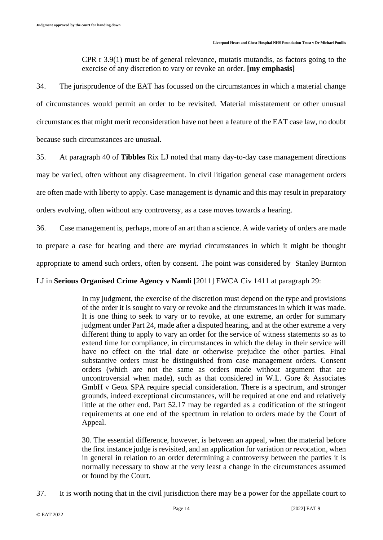CPR r 3.9(1) must be of general relevance, mutatis mutandis, as factors going to the exercise of any discretion to vary or revoke an order. **[my emphasis]**

34. The jurisprudence of the EAT has focussed on the circumstances in which a material change of circumstances would permit an order to be revisited. Material misstatement or other unusual circumstances that might merit reconsideration have not been a feature of the EAT case law, no doubt because such circumstances are unusual.

35. At paragraph 40 of **Tibbles** Rix LJ noted that many day-to-day case management directions

may be varied, often without any disagreement. In civil litigation general case management orders

are often made with liberty to apply. Case management is dynamic and this may result in preparatory

orders evolving, often without any controversy, as a case moves towards a hearing.

36. Case management is, perhaps, more of an art than a science. A wide variety of orders are made to prepare a case for hearing and there are myriad circumstances in which it might be thought appropriate to amend such orders, often by consent. The point was considered by Stanley Burnton

LJ in **Serious Organised Crime Agency v Namli** [2011] EWCA Civ 1411 at paragraph 29:

In my judgment, the exercise of the discretion must depend on the type and provisions of the order it is sought to vary or revoke and the circumstances in which it was made. It is one thing to seek to vary or to revoke, at one extreme, an order for summary judgment under Part 24, made after a disputed hearing, and at the other extreme a very different thing to apply to vary an order for the service of witness statements so as to extend time for compliance, in circumstances in which the delay in their service will have no effect on the trial date or otherwise prejudice the other parties. Final substantive orders must be distinguished from case management orders. Consent orders (which are not the same as orders made without argument that are uncontroversial when made), such as that considered in W.L. Gore & Associates GmbH v Geox SPA require special consideration. There is a spectrum, and stronger grounds, indeed exceptional circumstances, will be required at one end and relatively little at the other end. Part 52.17 may be regarded as a codification of the stringent requirements at one end of the spectrum in relation to orders made by the Court of Appeal.

30. The essential difference, however, is between an appeal, when the material before the first instance judge is revisited, and an application for variation or revocation, when in general in relation to an order determining a controversy between the parties it is normally necessary to show at the very least a change in the circumstances assumed or found by the Court.

37. It is worth noting that in the civil jurisdiction there may be a power for the appellate court to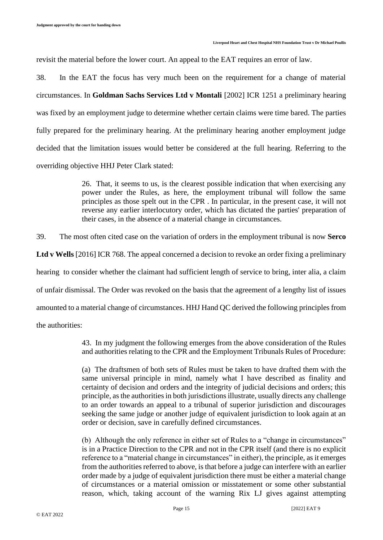revisit the material before the lower court. An appeal to the EAT requires an error of law.

38. In the EAT the focus has very much been on the requirement for a change of material circumstances. In **Goldman Sachs Services Ltd v Montali** [2002] ICR 1251 a preliminary hearing was fixed by an employment judge to determine whether certain claims were time bared. The parties fully prepared for the preliminary hearing. At the preliminary hearing another employment judge decided that the limitation issues would better be considered at the full hearing. Referring to the overriding objective HHJ Peter Clark stated:

> 26. That, it seems to us, is the clearest possible indication that when exercising any power under the Rules, as here, the employment tribunal will follow the same principles as those spelt out in the CPR . In particular, in the present case, it will not reverse any earlier interlocutory order, which has dictated the parties' preparation of their cases, in the absence of a material change in circumstances.

39. The most often cited case on the variation of orders in the employment tribunal is now **Serco** 

**Ltd v Wells** [2016] ICR 768. The appeal concerned a decision to revoke an order fixing a preliminary

hearing to consider whether the claimant had sufficient length of service to bring, inter alia, a claim

of unfair dismissal. The Order was revoked on the basis that the agreement of a lengthy list of issues

amounted to a material change of circumstances. HHJ Hand QC derived the following principles from

the authorities:

43. In my judgment the following emerges from the above consideration of the Rules and authorities relating to the CPR and the Employment Tribunals Rules of Procedure:

(a) The draftsmen of both sets of Rules must be taken to have drafted them with the same universal principle in mind, namely what I have described as finality and certainty of decision and orders and the integrity of judicial decisions and orders; this principle, as the authorities in both jurisdictions illustrate, usually directs any challenge to an order towards an appeal to a tribunal of superior jurisdiction and discourages seeking the same judge or another judge of equivalent jurisdiction to look again at an order or decision, save in carefully defined circumstances.

(b) Although the only reference in either set of Rules to a "change in circumstances" is in a Practice Direction to the CPR and not in the CPR itself (and there is no explicit reference to a "material change in circumstances" in either), the principle, as it emerges from the authorities referred to above, is that before a judge can interfere with an earlier order made by a judge of equivalent jurisdiction there must be either a material change of circumstances or a material omission or misstatement or some other substantial reason, which, taking account of the warning Rix LJ gives against attempting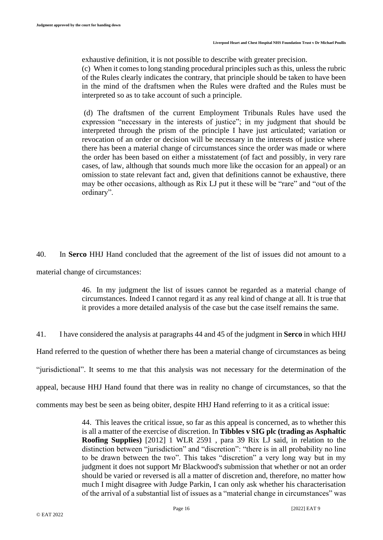exhaustive definition, it is not possible to describe with greater precision. (c) When it comes to long standing procedural principles such as this, unless the rubric of the Rules clearly indicates the contrary, that principle should be taken to have been in the mind of the draftsmen when the Rules were drafted and the Rules must be interpreted so as to take account of such a principle.

(d) The draftsmen of the current Employment Tribunals Rules have used the expression "necessary in the interests of justice"; in my judgment that should be interpreted through the prism of the principle I have just articulated; variation or revocation of an order or decision will be necessary in the interests of justice where there has been a material change of circumstances since the order was made or where the order has been based on either a misstatement (of fact and possibly, in very rare cases, of law, although that sounds much more like the occasion for an appeal) or an omission to state relevant fact and, given that definitions cannot be exhaustive, there may be other occasions, although as Rix LJ put it these will be "rare" and "out of the ordinary".

40. In **Serco** HHJ Hand concluded that the agreement of the list of issues did not amount to a material change of circumstances:

> 46. In my judgment the list of issues cannot be regarded as a material change of circumstances. Indeed I cannot regard it as any real kind of change at all. It is true that it provides a more detailed analysis of the case but the case itself remains the same.

41. I have considered the analysis at paragraphs 44 and 45 of the judgment in **Serco** in which HHJ Hand referred to the question of whether there has been a material change of circumstances as being "jurisdictional". It seems to me that this analysis was not necessary for the determination of the appeal, because HHJ Hand found that there was in reality no change of circumstances, so that the comments may best be seen as being obiter, despite HHJ Hand referring to it as a critical issue:

> 44. This leaves the critical issue, so far as this appeal is concerned, as to whether this is all a matter of the exercise of discretion. In **Tibbles v SIG plc (trading as Asphaltic Roofing Supplies)** [2012] 1 WLR 2591 , para 39 Rix LJ said, in relation to the distinction between "jurisdiction" and "discretion": "there is in all probability no line to be drawn between the two". This takes "discretion" a very long way but in my judgment it does not support Mr Blackwood's submission that whether or not an order should be varied or reversed is all a matter of discretion and, therefore, no matter how much I might disagree with Judge Parkin, I can only ask whether his characterisation of the arrival of a substantial list of issues as a "material change in circumstances" was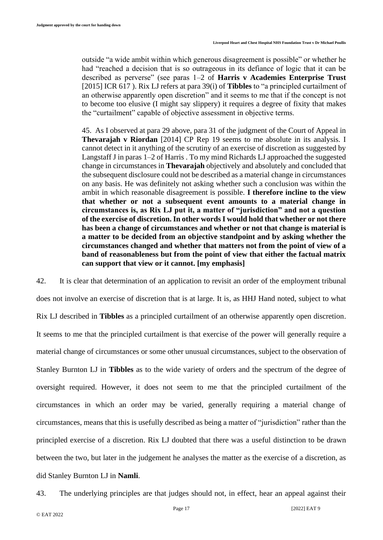outside "a wide ambit within which generous disagreement is possible" or whether he had "reached a decision that is so outrageous in its defiance of logic that it can be described as perverse" (see paras 1–2 of **Harris v Academies Enterprise Trust** [2015] ICR 617 ). Rix LJ refers at para 39(i) of **Tibbles** to "a principled curtailment of an otherwise apparently open discretion" and it seems to me that if the concept is not to become too elusive (I might say slippery) it requires a degree of fixity that makes the "curtailment" capable of objective assessment in objective terms.

45. As I observed at para 29 above, para 31 of the judgment of the Court of Appeal in **Thevarajah v Riordan** [2014] CP Rep 19 seems to me absolute in its analysis. I cannot detect in it anything of the scrutiny of an exercise of discretion as suggested by Langstaff J in paras 1–2 of Harris . To my mind Richards LJ approached the suggested change in circumstances in **Thevarajah** objectively and absolutely and concluded that the subsequent disclosure could not be described as a material change in circumstances on any basis. He was definitely not asking whether such a conclusion was within the ambit in which reasonable disagreement is possible. **I therefore incline to the view that whether or not a subsequent event amounts to a material change in circumstances is, as Rix LJ put it, a matter of "jurisdiction" and not a question of the exercise of discretion. In other words I would hold that whether or not there has been a change of circumstances and whether or not that change is material is a matter to be decided from an objective standpoint and by asking whether the circumstances changed and whether that matters not from the point of view of a band of reasonableness but from the point of view that either the factual matrix can support that view or it cannot. [my emphasis]**

42. It is clear that determination of an application to revisit an order of the employment tribunal does not involve an exercise of discretion that is at large. It is, as HHJ Hand noted, subject to what Rix LJ described in **Tibbles** as a principled curtailment of an otherwise apparently open discretion. It seems to me that the principled curtailment is that exercise of the power will generally require a material change of circumstances or some other unusual circumstances, subject to the observation of Stanley Burnton LJ in **Tibbles** as to the wide variety of orders and the spectrum of the degree of oversight required. However, it does not seem to me that the principled curtailment of the circumstances in which an order may be varied, generally requiring a material change of circumstances, means that this is usefully described as being a matter of "jurisdiction" rather than the principled exercise of a discretion. Rix LJ doubted that there was a useful distinction to be drawn between the two, but later in the judgement he analyses the matter as the exercise of a discretion, as did Stanley Burnton LJ in **Namli**.

43. The underlying principles are that judges should not, in effect, hear an appeal against their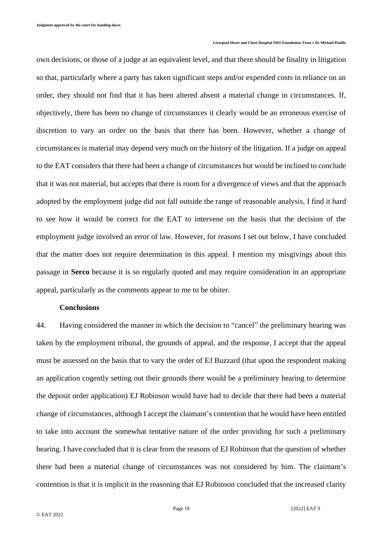own decisions, or those of a judge at an equivalent level, and that there should be finality in litigation so that, particularly where a party has taken significant steps and/or expended costs in reliance on an order, they should not find that it has been altered absent a material change in circumstances. If, objectively, there has been no change of circumstances it clearly would be an erroneous exercise of discretion to vary an order on the basis that there has been. However, whether a change of circumstances is material may depend very much on the history of the litigation. If a judge on appeal to the EAT considers that there had been a change of circumstances but would be inclined to conclude that it was not material, but accepts that there is room for a divergence of views and that the approach adopted by the employment judge did not fall outside the range of reasonable analysis, I find it hard to see how it would be correct for the EAT to intervene on the basis that the decision of the employment judge involved an error of law. However, for reasons I set out below, I have concluded that the matter does not require determination in this appeal. I mention my misgivings about this passage in **Serco** because it is so regularly quoted and may require consideration in an appropriate appeal, particularly as the comments appear to me to be obiter.

## **Conclusions**

44. Having considered the manner in which the decision to "cancel" the preliminary hearing was taken by the employment tribunal, the grounds of appeal, and the response, I accept that the appeal must be assessed on the basis that to vary the order of EJ Buzzard (that upon the respondent making an application cogently setting out their grounds there would be a preliminary hearing to determine the deposit order application) EJ Robinson would have had to decide that there had been a material change of circumstances, although I accept the claimant's contention that he would have been entitled to take into account the somewhat tentative nature of the order providing for such a preliminary hearing. I have concluded that it is clear from the reasons of EJ Robinson that the question of whether there had been a material change of circumstances was not considered by him. The claimant's contention is that it is implicit in the reasoning that EJ Robinson concluded that the increased clarity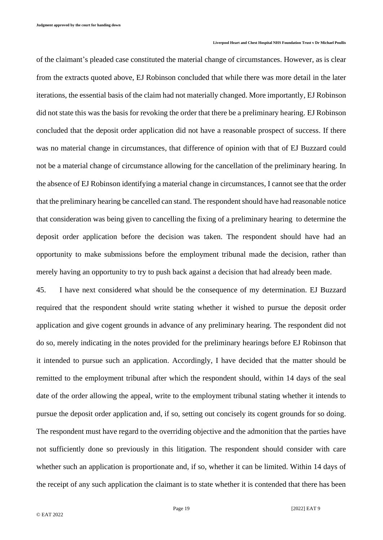of the claimant's pleaded case constituted the material change of circumstances. However, as is clear from the extracts quoted above, EJ Robinson concluded that while there was more detail in the later iterations, the essential basis of the claim had not materially changed. More importantly, EJ Robinson did not state this was the basis for revoking the order that there be a preliminary hearing. EJ Robinson concluded that the deposit order application did not have a reasonable prospect of success. If there was no material change in circumstances, that difference of opinion with that of EJ Buzzard could not be a material change of circumstance allowing for the cancellation of the preliminary hearing. In the absence of EJ Robinson identifying a material change in circumstances, I cannot see that the order that the preliminary hearing be cancelled can stand. The respondent should have had reasonable notice that consideration was being given to cancelling the fixing of a preliminary hearing to determine the deposit order application before the decision was taken. The respondent should have had an opportunity to make submissions before the employment tribunal made the decision, rather than merely having an opportunity to try to push back against a decision that had already been made.

45. I have next considered what should be the consequence of my determination. EJ Buzzard required that the respondent should write stating whether it wished to pursue the deposit order application and give cogent grounds in advance of any preliminary hearing. The respondent did not do so, merely indicating in the notes provided for the preliminary hearings before EJ Robinson that it intended to pursue such an application. Accordingly, I have decided that the matter should be remitted to the employment tribunal after which the respondent should, within 14 days of the seal date of the order allowing the appeal, write to the employment tribunal stating whether it intends to pursue the deposit order application and, if so, setting out concisely its cogent grounds for so doing. The respondent must have regard to the overriding objective and the admonition that the parties have not sufficiently done so previously in this litigation. The respondent should consider with care whether such an application is proportionate and, if so, whether it can be limited. Within 14 days of the receipt of any such application the claimant is to state whether it is contended that there has been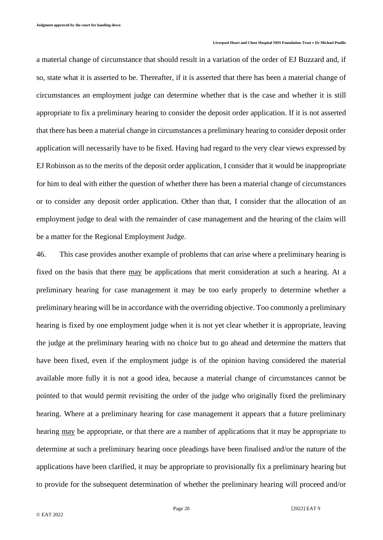a material change of circumstance that should result in a variation of the order of EJ Buzzard and, if so, state what it is asserted to be. Thereafter, if it is asserted that there has been a material change of circumstances an employment judge can determine whether that is the case and whether it is still appropriate to fix a preliminary hearing to consider the deposit order application. If it is not asserted that there has been a material change in circumstances a preliminary hearing to consider deposit order application will necessarily have to be fixed. Having had regard to the very clear views expressed by EJ Robinson as to the merits of the deposit order application, I consider that it would be inappropriate for him to deal with either the question of whether there has been a material change of circumstances or to consider any deposit order application. Other than that, I consider that the allocation of an employment judge to deal with the remainder of case management and the hearing of the claim will be a matter for the Regional Employment Judge.

46. This case provides another example of problems that can arise where a preliminary hearing is fixed on the basis that there may be applications that merit consideration at such a hearing. At a preliminary hearing for case management it may be too early properly to determine whether a preliminary hearing will be in accordance with the overriding objective. Too commonly a preliminary hearing is fixed by one employment judge when it is not yet clear whether it is appropriate, leaving the judge at the preliminary hearing with no choice but to go ahead and determine the matters that have been fixed, even if the employment judge is of the opinion having considered the material available more fully it is not a good idea, because a material change of circumstances cannot be pointed to that would permit revisiting the order of the judge who originally fixed the preliminary hearing. Where at a preliminary hearing for case management it appears that a future preliminary hearing may be appropriate, or that there are a number of applications that it may be appropriate to determine at such a preliminary hearing once pleadings have been finalised and/or the nature of the applications have been clarified, it may be appropriate to provisionally fix a preliminary hearing but to provide for the subsequent determination of whether the preliminary hearing will proceed and/or